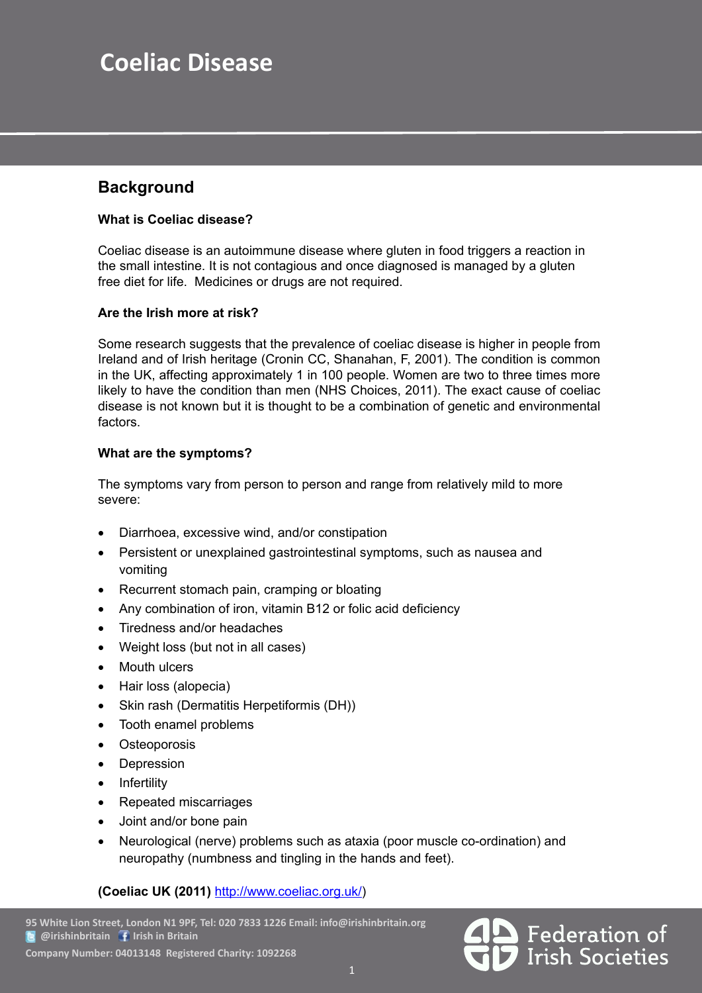# **Coeliac Disease**

### **Background**

### **What is Coeliac disease?**

Coeliac disease is an autoimmune disease where gluten in food triggers a reaction in the small intestine. It is not contagious and once diagnosed is managed by a gluten free diet for life. Medicines or drugs are not required.

### **Are the Irish more at risk?**

Some research suggests that the prevalence of coeliac disease is higher in people from Ireland and of Irish heritage (Cronin CC, Shanahan, F, 2001). The condition is common in the UK, affecting approximately 1 in 100 people. Women are two to three times more likely to have the condition than men (NHS Choices, 2011). The exact cause of coeliac disease is not known but it is thought to be a combination of genetic and environmental factors.

### **What are the symptoms?**

The symptoms vary from person to person and range from relatively mild to more severe:

- Diarrhoea, excessive wind, and/or constipation
- Persistent or unexplained gastrointestinal symptoms, such as nausea and vomiting
- Recurrent stomach pain, cramping or bloating
- Any combination of iron, vitamin B12 or folic acid deficiency
- Tiredness and/or headaches
- Weight loss (but not in all cases)
- Mouth ulcers
- Hair loss (alopecia)
- Skin rash (Dermatitis Herpetiformis (DH))
- Tooth enamel problems
- **Osteoporosis**
- **Depression**
- **Infertility**
- **Repeated miscarriages**
- Joint and/or bone pain
- Neurological (nerve) problems such as ataxia (poor muscle co-ordination) and neuropathy (numbness and tingling in the hands and feet).

### **(Coeliac UK (2011)** http://www.coeliac.org.uk/)

Federation of<br>Irish Societies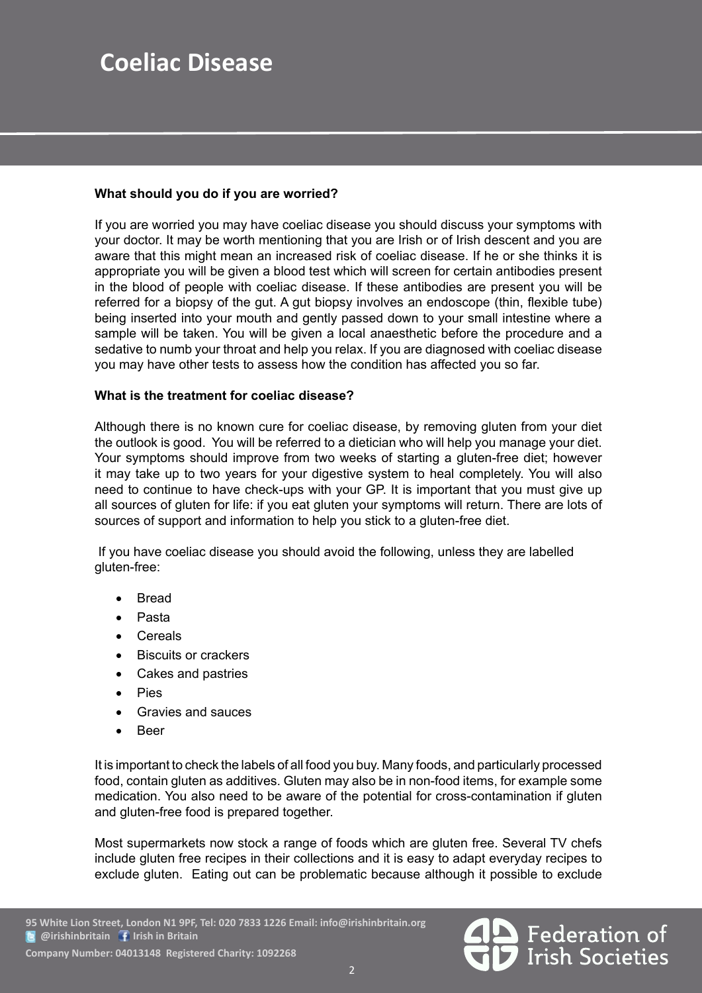# **Coeliac Disease**

### **What should you do if you are worried?**

If you are worried you may have coeliac disease you should discuss your symptoms with your doctor. It may be worth mentioning that you are Irish or of Irish descent and you are aware that this might mean an increased risk of coeliac disease. If he or she thinks it is appropriate you will be given a blood test which will screen for certain antibodies present in the blood of people with coeliac disease. If these antibodies are present you will be referred for a biopsy of the gut. A gut biopsy involves an endoscope (thin, flexible tube) being inserted into your mouth and gently passed down to your small intestine where a sample will be taken. You will be given a local anaesthetic before the procedure and a sedative to numb your throat and help you relax. If you are diagnosed with coeliac disease you may have other tests to assess how the condition has affected you so far.

### **What is the treatment for coeliac disease?**

Although there is no known cure for coeliac disease, by removing gluten from your diet the outlook is good. You will be referred to a dietician who will help you manage your diet. Your symptoms should improve from two weeks of starting a gluten-free diet; however it may take up to two years for your digestive system to heal completely. You will also need to continue to have check-ups with your GP. It is important that you must give up all sources of gluten for life: if you eat gluten your symptoms will return. There are lots of sources of support and information to help you stick to a gluten-free diet.

 If you have coeliac disease you should avoid the following, unless they are labelled gluten-free:

- **Bread**
- **Pasta**
- **Cereals**
- **Biscuits or crackers**
- Cakes and pastries
- **Pies**
- Gravies and sauces
- **Beer**

It is important to check the labels of all food you buy. Many foods, and particularly processed food, contain gluten as additives. Gluten may also be in non-food items, for example some medication. You also need to be aware of the potential for cross-contamination if gluten and gluten-free food is prepared together.

Most supermarkets now stock a range of foods which are gluten free. Several TV chefs include gluten free recipes in their collections and it is easy to adapt everyday recipes to exclude gluten. Eating out can be problematic because although it possible to exclude

 **Company Number: 04013148 Registered Charity: 1092268**

Federation of<br>Irish Societies